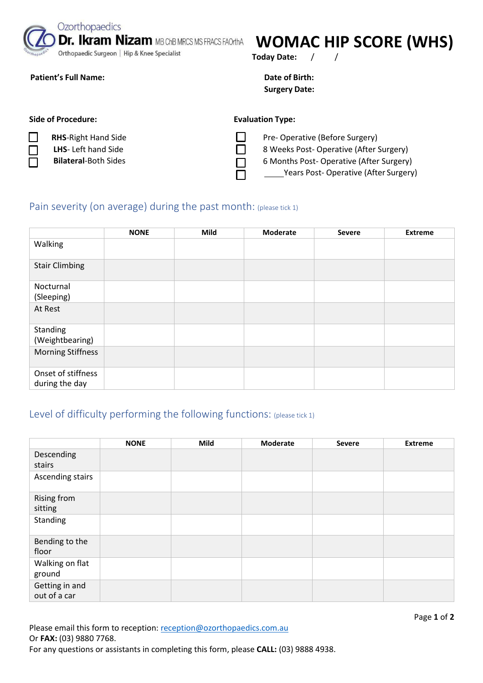Ozorthopaedics

**Dr. Ikram Nizam MB ChB MRCS MS FRACS FAOrthA** 

Orthopaedic Surgeon | Hip & Knee Specialist

#### **Patient's Full Name: Date of Birth:**

# **WOMAC HIP SCORE (WHS)**

**Today Date:** / /

**Surgery Date:** 

Side of Procedure: **Evaluation Type: Evaluation Type:** 

П **RHS**-Right Hand Side

**LHS**- Left hand Side

**Bilateral**-Both Sides

 $\Box$ 

Pre- Operative (Before Surgery)

8 Weeks Post- Operative (After Surgery)

6 Months Post- Operative (After Surgery)

Years Post- Operative (After Surgery)

### Pain severity (on average) during the past month: (please tick 1)

|                                      | <b>NONE</b> | Mild | <b>Moderate</b> | <b>Severe</b> | <b>Extreme</b> |
|--------------------------------------|-------------|------|-----------------|---------------|----------------|
| Walking                              |             |      |                 |               |                |
| <b>Stair Climbing</b>                |             |      |                 |               |                |
| Nocturnal<br>(Sleeping)              |             |      |                 |               |                |
| At Rest                              |             |      |                 |               |                |
| Standing<br>(Weightbearing)          |             |      |                 |               |                |
| <b>Morning Stiffness</b>             |             |      |                 |               |                |
| Onset of stiffness<br>during the day |             |      |                 |               |                |

### Level of difficulty performing the following functions: (please tick 1)

|                                | <b>NONE</b> | Mild | Moderate | <b>Severe</b> | <b>Extreme</b> |
|--------------------------------|-------------|------|----------|---------------|----------------|
| Descending<br>stairs           |             |      |          |               |                |
| Ascending stairs               |             |      |          |               |                |
| Rising from<br>sitting         |             |      |          |               |                |
| Standing                       |             |      |          |               |                |
| Bending to the<br>floor        |             |      |          |               |                |
| Walking on flat<br>ground      |             |      |          |               |                |
| Getting in and<br>out of a car |             |      |          |               |                |

Page **1** of **2**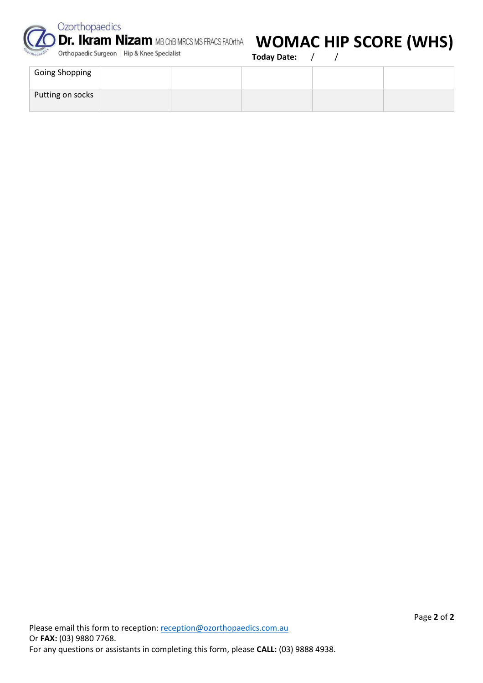

## **WOMAC HIP SCORE (WHS)**

### **Today Date:** / /

| <b>Going Shopping</b> |  |  |  |
|-----------------------|--|--|--|
| Putting on socks      |  |  |  |